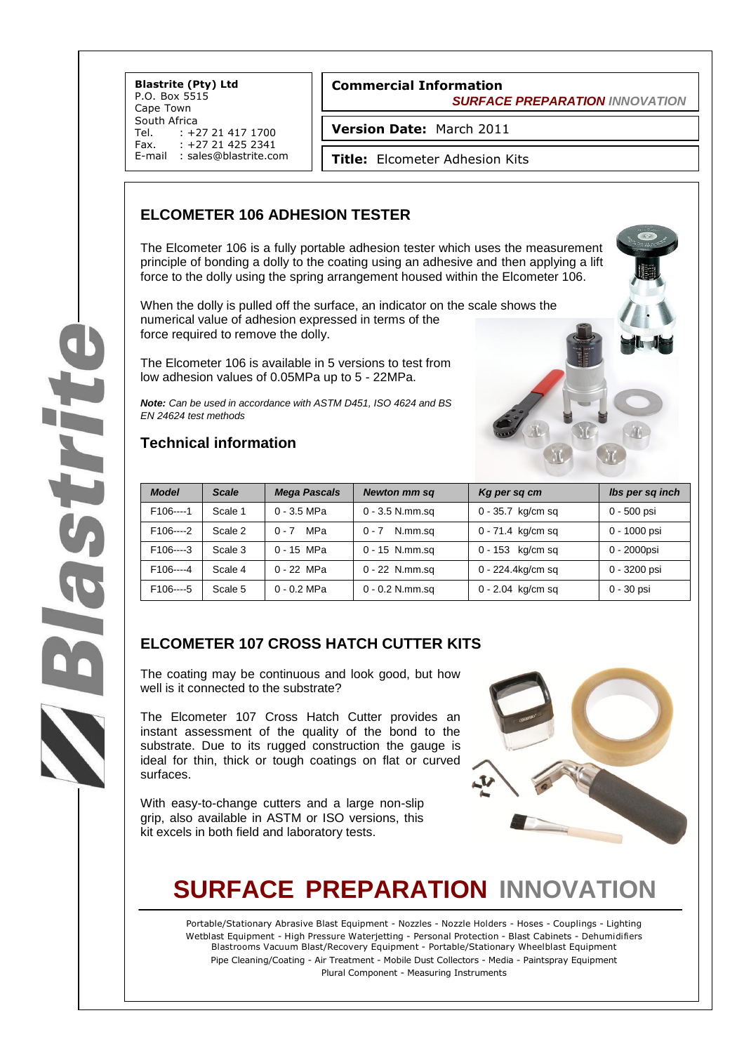**Blastrite (Pty) Ltd** P.O. Box 5515 Cape Town South Africa<br>Tel. : +2 Tel. : +27 21 417 1700<br>Fax. : +27 21 425 2341  $: +27214252341$ E-mail : sales@blastrite.com

#### **Commercial Information**  *SURFACE PREPARATION INNOVATION*

**Version Date:** March 2011

**Title:** Elcometer Adhesion Kits

### **ELCOMETER 106 ADHESION TESTER**

The Elcometer 106 is a fully portable adhesion tester which uses the measurement principle of bonding a dolly to the coating using an adhesive and then applying a lift force to the dolly using the spring arrangement housed within the Elcometer 106.

When the dolly is pulled off the surface, an indicator on the scale shows the numerical value of adhesion expressed in terms of the force required to remove the dolly.

The Elcometer 106 is available in 5 versions to test from low adhesion values of 0.05MPa up to 5 - 22MPa.

*Note: Can be used in accordance with ASTM D451, ISO 4624 and BS EN 24624 test methods*

### **Technical information**



### **ELCOMETER 107 CROSS HATCH CUTTER KITS**

The coating may be continuous and look good, but how well is it connected to the substrate?

The Elcometer 107 Cross Hatch Cutter provides an instant assessment of the quality of the bond to the substrate. Due to its rugged construction the gauge is ideal for thin, thick or tough coatings on flat or curved surfaces.

With easy-to-change cutters and a large non-slip grip, also available in ASTM or ISO versions, this kit excels in both field and laboratory tests.



## **SURFACE PREPARATION INNOVATION**

Portable/Stationary Abrasive Blast Equipment - Nozzles - Nozzle Holders - Hoses - Couplings - Lighting Wetblast Equipment - High Pressure Waterjetting - Personal Protection - Blast Cabinets - Dehumidifiers Blastrooms Vacuum Blast/Recovery Equipment - Portable/Stationary Wheelblast Equipment Pipe Cleaning/Coating - Air Treatment - Mobile Dust Collectors - Media - Paintspray Equipment Plural Component - Measuring Instruments